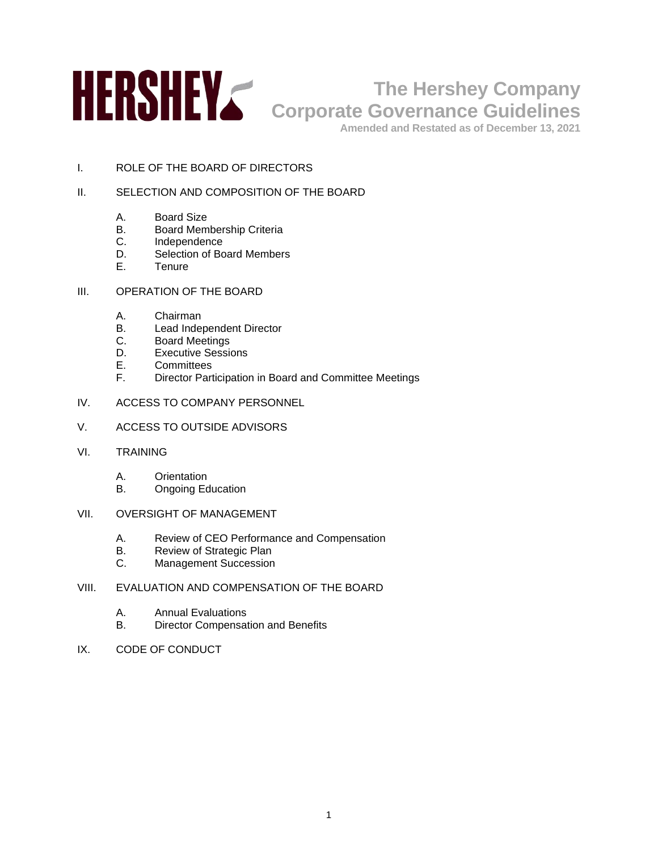

# **The Hershey Company Corporate Governance Guidelines**

**Amended and Restated as of December 13, 2021**

I. ROLE OF THE BOARD OF DIRECTORS

# II. SELECTION AND COMPOSITION OF THE BOARD

- A. Board Size
- B. Board Membership Criteria
- C. Independence<br>D. Selection of Bo
- D. Selection of Board Members<br>F. Tenure
- **Tenure**
- III. OPERATION OF THE BOARD
	- A. Chairman
	- B. Lead Independent Director
	- C. Board Meetings
	- D. Executive Sessions
	- E. Committees
	- F. Director Participation in Board and Committee Meetings
- IV. ACCESS TO COMPANY PERSONNEL
- V. ACCESS TO OUTSIDE ADVISORS
- VI. TRAINING
	- A. Orientation
	- B. Ongoing Education
- VII. OVERSIGHT OF MANAGEMENT
	- A. Review of CEO Performance and Compensation
	- B. Review of Strategic Plan<br>C. Management Succession
	- Management Succession
- VIII. EVALUATION AND COMPENSATION OF THE BOARD
	- A. Annual Evaluations
	- B. Director Compensation and Benefits
- IX. CODE OF CONDUCT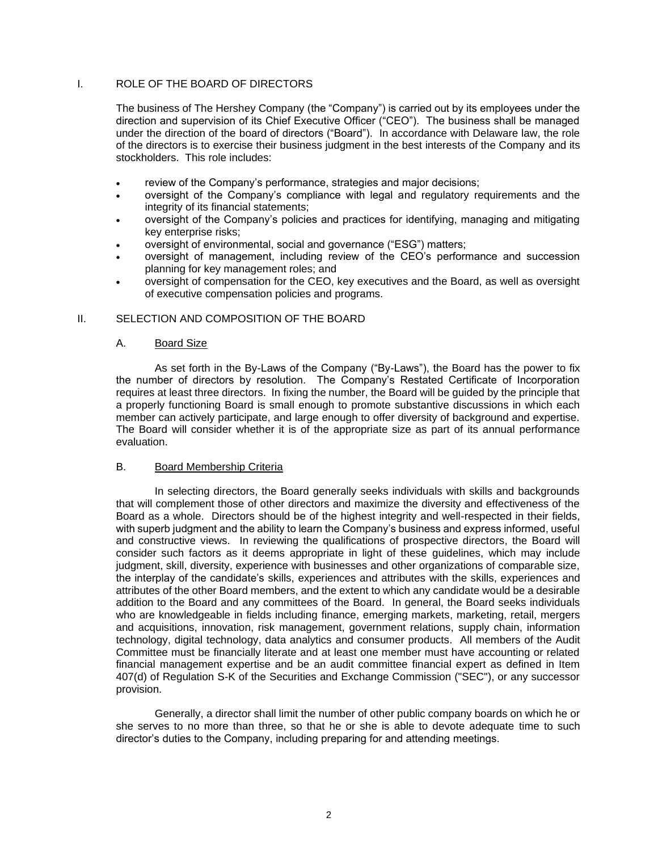# I. ROLE OF THE BOARD OF DIRECTORS

The business of The Hershey Company (the "Company") is carried out by its employees under the direction and supervision of its Chief Executive Officer ("CEO"). The business shall be managed under the direction of the board of directors ("Board"). In accordance with Delaware law, the role of the directors is to exercise their business judgment in the best interests of the Company and its stockholders. This role includes:

- review of the Company's performance, strategies and major decisions;
- oversight of the Company's compliance with legal and regulatory requirements and the integrity of its financial statements;
- oversight of the Company's policies and practices for identifying, managing and mitigating key enterprise risks;
- oversight of environmental, social and governance ("ESG") matters;
- oversight of management, including review of the CEO's performance and succession planning for key management roles; and
- oversight of compensation for the CEO, key executives and the Board, as well as oversight of executive compensation policies and programs.

# II. SELECTION AND COMPOSITION OF THE BOARD

#### A. Board Size

As set forth in the By-Laws of the Company ("By-Laws"), the Board has the power to fix the number of directors by resolution. The Company's Restated Certificate of Incorporation requires at least three directors. In fixing the number, the Board will be guided by the principle that a properly functioning Board is small enough to promote substantive discussions in which each member can actively participate, and large enough to offer diversity of background and expertise. The Board will consider whether it is of the appropriate size as part of its annual performance evaluation.

#### B. Board Membership Criteria

In selecting directors, the Board generally seeks individuals with skills and backgrounds that will complement those of other directors and maximize the diversity and effectiveness of the Board as a whole. Directors should be of the highest integrity and well-respected in their fields, with superb judgment and the ability to learn the Company's business and express informed, useful and constructive views. In reviewing the qualifications of prospective directors, the Board will consider such factors as it deems appropriate in light of these guidelines, which may include judgment, skill, diversity, experience with businesses and other organizations of comparable size, the interplay of the candidate's skills, experiences and attributes with the skills, experiences and attributes of the other Board members, and the extent to which any candidate would be a desirable addition to the Board and any committees of the Board. In general, the Board seeks individuals who are knowledgeable in fields including finance, emerging markets, marketing, retail, mergers and acquisitions, innovation, risk management, government relations, supply chain, information technology, digital technology, data analytics and consumer products. All members of the Audit Committee must be financially literate and at least one member must have accounting or related financial management expertise and be an audit committee financial expert as defined in Item 407(d) of Regulation S-K of the Securities and Exchange Commission ("SEC"), or any successor provision.

Generally, a director shall limit the number of other public company boards on which he or she serves to no more than three, so that he or she is able to devote adequate time to such director's duties to the Company, including preparing for and attending meetings.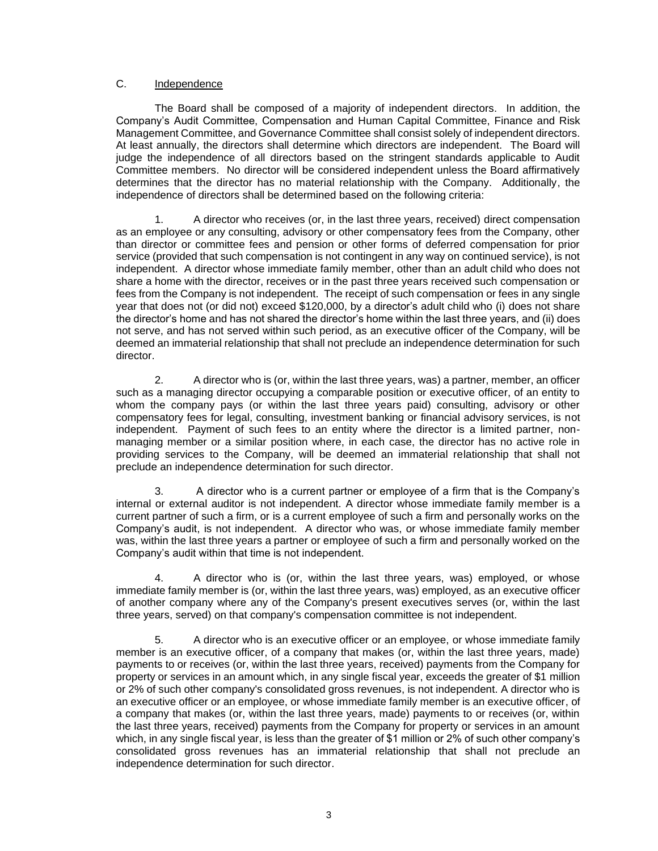# C. Independence

The Board shall be composed of a majority of independent directors. In addition, the Company's Audit Committee, Compensation and Human Capital Committee, Finance and Risk Management Committee, and Governance Committee shall consist solely of independent directors. At least annually, the directors shall determine which directors are independent. The Board will judge the independence of all directors based on the stringent standards applicable to Audit Committee members. No director will be considered independent unless the Board affirmatively determines that the director has no material relationship with the Company. Additionally, the independence of directors shall be determined based on the following criteria:

1. A director who receives (or, in the last three years, received) direct compensation as an employee or any consulting, advisory or other compensatory fees from the Company, other than director or committee fees and pension or other forms of deferred compensation for prior service (provided that such compensation is not contingent in any way on continued service), is not independent. A director whose immediate family member, other than an adult child who does not share a home with the director, receives or in the past three years received such compensation or fees from the Company is not independent. The receipt of such compensation or fees in any single year that does not (or did not) exceed \$120,000, by a director's adult child who (i) does not share the director's home and has not shared the director's home within the last three years, and (ii) does not serve, and has not served within such period, as an executive officer of the Company, will be deemed an immaterial relationship that shall not preclude an independence determination for such director.

2. A director who is (or, within the last three years, was) a partner, member, an officer such as a managing director occupying a comparable position or executive officer, of an entity to whom the company pays (or within the last three years paid) consulting, advisory or other compensatory fees for legal, consulting, investment banking or financial advisory services, is not independent. Payment of such fees to an entity where the director is a limited partner, nonmanaging member or a similar position where, in each case, the director has no active role in providing services to the Company, will be deemed an immaterial relationship that shall not preclude an independence determination for such director.

3. A director who is a current partner or employee of a firm that is the Company's internal or external auditor is not independent. A director whose immediate family member is a current partner of such a firm, or is a current employee of such a firm and personally works on the Company's audit, is not independent. A director who was, or whose immediate family member was, within the last three years a partner or employee of such a firm and personally worked on the Company's audit within that time is not independent.

4. A director who is (or, within the last three years, was) employed, or whose immediate family member is (or, within the last three years, was) employed, as an executive officer of another company where any of the Company's present executives serves (or, within the last three years, served) on that company's compensation committee is not independent.

5. A director who is an executive officer or an employee, or whose immediate family member is an executive officer, of a company that makes (or, within the last three years, made) payments to or receives (or, within the last three years, received) payments from the Company for property or services in an amount which, in any single fiscal year, exceeds the greater of \$1 million or 2% of such other company's consolidated gross revenues, is not independent. A director who is an executive officer or an employee, or whose immediate family member is an executive officer, of a company that makes (or, within the last three years, made) payments to or receives (or, within the last three years, received) payments from the Company for property or services in an amount which, in any single fiscal year, is less than the greater of \$1 million or 2% of such other company's consolidated gross revenues has an immaterial relationship that shall not preclude an independence determination for such director.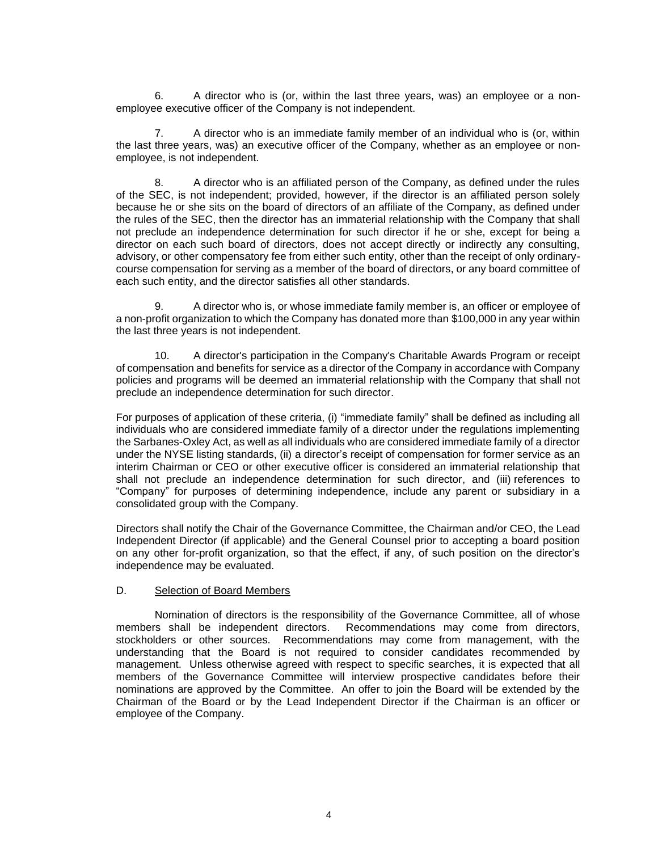6. A director who is (or, within the last three years, was) an employee or a nonemployee executive officer of the Company is not independent.

7. A director who is an immediate family member of an individual who is (or, within the last three years, was) an executive officer of the Company, whether as an employee or nonemployee, is not independent.

8. A director who is an affiliated person of the Company, as defined under the rules of the SEC, is not independent; provided, however, if the director is an affiliated person solely because he or she sits on the board of directors of an affiliate of the Company, as defined under the rules of the SEC, then the director has an immaterial relationship with the Company that shall not preclude an independence determination for such director if he or she, except for being a director on each such board of directors, does not accept directly or indirectly any consulting, advisory, or other compensatory fee from either such entity, other than the receipt of only ordinarycourse compensation for serving as a member of the board of directors, or any board committee of each such entity, and the director satisfies all other standards.

9. A director who is, or whose immediate family member is, an officer or employee of a non-profit organization to which the Company has donated more than \$100,000 in any year within the last three years is not independent.

10. A director's participation in the Company's Charitable Awards Program or receipt of compensation and benefits for service as a director of the Company in accordance with Company policies and programs will be deemed an immaterial relationship with the Company that shall not preclude an independence determination for such director.

For purposes of application of these criteria, (i) "immediate family" shall be defined as including all individuals who are considered immediate family of a director under the regulations implementing the Sarbanes-Oxley Act, as well as all individuals who are considered immediate family of a director under the NYSE listing standards, (ii) a director's receipt of compensation for former service as an interim Chairman or CEO or other executive officer is considered an immaterial relationship that shall not preclude an independence determination for such director, and (iii) references to "Company" for purposes of determining independence, include any parent or subsidiary in a consolidated group with the Company.

Directors shall notify the Chair of the Governance Committee, the Chairman and/or CEO, the Lead Independent Director (if applicable) and the General Counsel prior to accepting a board position on any other for-profit organization, so that the effect, if any, of such position on the director's independence may be evaluated.

#### D. Selection of Board Members

Nomination of directors is the responsibility of the Governance Committee, all of whose members shall be independent directors. Recommendations may come from directors, stockholders or other sources. Recommendations may come from management, with the understanding that the Board is not required to consider candidates recommended by management. Unless otherwise agreed with respect to specific searches, it is expected that all members of the Governance Committee will interview prospective candidates before their nominations are approved by the Committee. An offer to join the Board will be extended by the Chairman of the Board or by the Lead Independent Director if the Chairman is an officer or employee of the Company.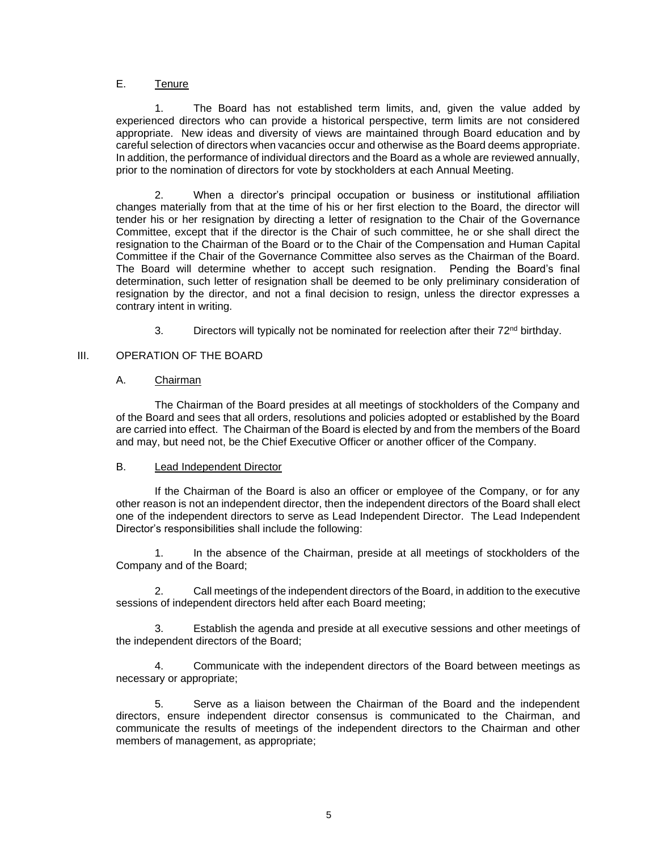# E. Tenure

1. The Board has not established term limits, and, given the value added by experienced directors who can provide a historical perspective, term limits are not considered appropriate. New ideas and diversity of views are maintained through Board education and by careful selection of directors when vacancies occur and otherwise as the Board deems appropriate. In addition, the performance of individual directors and the Board as a whole are reviewed annually, prior to the nomination of directors for vote by stockholders at each Annual Meeting.

2. When a director's principal occupation or business or institutional affiliation changes materially from that at the time of his or her first election to the Board, the director will tender his or her resignation by directing a letter of resignation to the Chair of the Governance Committee, except that if the director is the Chair of such committee, he or she shall direct the resignation to the Chairman of the Board or to the Chair of the Compensation and Human Capital Committee if the Chair of the Governance Committee also serves as the Chairman of the Board. The Board will determine whether to accept such resignation. Pending the Board's final determination, such letter of resignation shall be deemed to be only preliminary consideration of resignation by the director, and not a final decision to resign, unless the director expresses a contrary intent in writing.

3. Directors will typically not be nominated for reelection after their  $72<sup>nd</sup>$  birthday.

# III. OPERATION OF THE BOARD

# A. Chairman

The Chairman of the Board presides at all meetings of stockholders of the Company and of the Board and sees that all orders, resolutions and policies adopted or established by the Board are carried into effect. The Chairman of the Board is elected by and from the members of the Board and may, but need not, be the Chief Executive Officer or another officer of the Company.

#### B. Lead Independent Director

If the Chairman of the Board is also an officer or employee of the Company, or for any other reason is not an independent director, then the independent directors of the Board shall elect one of the independent directors to serve as Lead Independent Director. The Lead Independent Director's responsibilities shall include the following:

1. In the absence of the Chairman, preside at all meetings of stockholders of the Company and of the Board;

2. Call meetings of the independent directors of the Board, in addition to the executive sessions of independent directors held after each Board meeting;

3. Establish the agenda and preside at all executive sessions and other meetings of the independent directors of the Board;

4. Communicate with the independent directors of the Board between meetings as necessary or appropriate;

5. Serve as a liaison between the Chairman of the Board and the independent directors, ensure independent director consensus is communicated to the Chairman, and communicate the results of meetings of the independent directors to the Chairman and other members of management, as appropriate;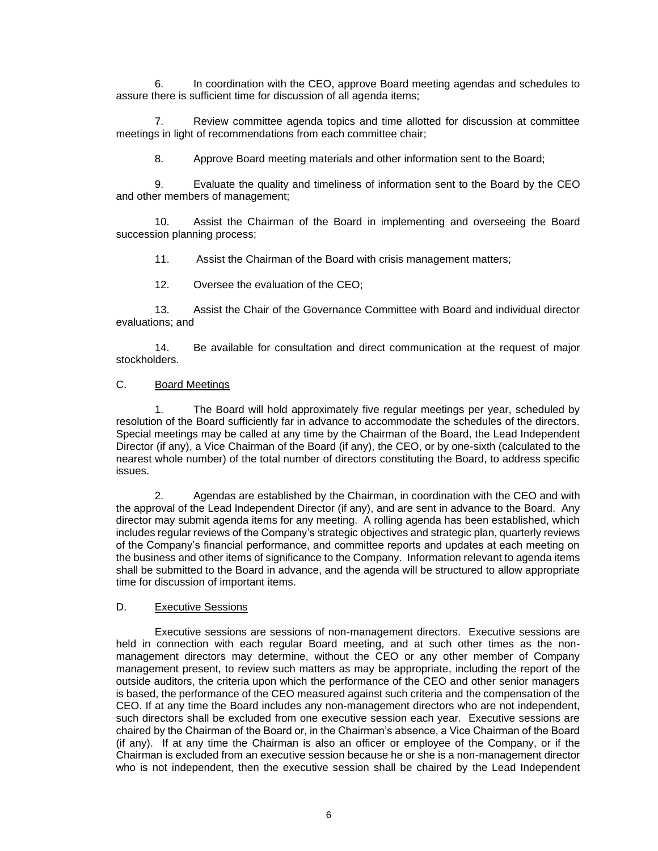6. In coordination with the CEO, approve Board meeting agendas and schedules to assure there is sufficient time for discussion of all agenda items;

7. Review committee agenda topics and time allotted for discussion at committee meetings in light of recommendations from each committee chair;

8. Approve Board meeting materials and other information sent to the Board;

9. Evaluate the quality and timeliness of information sent to the Board by the CEO and other members of management;

10. Assist the Chairman of the Board in implementing and overseeing the Board succession planning process;

11. Assist the Chairman of the Board with crisis management matters;

12. Oversee the evaluation of the CEO;

13. Assist the Chair of the Governance Committee with Board and individual director evaluations; and

14. Be available for consultation and direct communication at the request of major stockholders.

# C. Board Meetings

1. The Board will hold approximately five regular meetings per year, scheduled by resolution of the Board sufficiently far in advance to accommodate the schedules of the directors. Special meetings may be called at any time by the Chairman of the Board, the Lead Independent Director (if any), a Vice Chairman of the Board (if any), the CEO, or by one-sixth (calculated to the nearest whole number) of the total number of directors constituting the Board, to address specific issues.

2. Agendas are established by the Chairman, in coordination with the CEO and with the approval of the Lead Independent Director (if any), and are sent in advance to the Board. Any director may submit agenda items for any meeting. A rolling agenda has been established, which includes regular reviews of the Company's strategic objectives and strategic plan, quarterly reviews of the Company's financial performance, and committee reports and updates at each meeting on the business and other items of significance to the Company. Information relevant to agenda items shall be submitted to the Board in advance, and the agenda will be structured to allow appropriate time for discussion of important items.

#### D. Executive Sessions

Executive sessions are sessions of non-management directors. Executive sessions are held in connection with each regular Board meeting, and at such other times as the nonmanagement directors may determine, without the CEO or any other member of Company management present, to review such matters as may be appropriate, including the report of the outside auditors, the criteria upon which the performance of the CEO and other senior managers is based, the performance of the CEO measured against such criteria and the compensation of the CEO. If at any time the Board includes any non-management directors who are not independent, such directors shall be excluded from one executive session each year. Executive sessions are chaired by the Chairman of the Board or, in the Chairman's absence, a Vice Chairman of the Board (if any). If at any time the Chairman is also an officer or employee of the Company, or if the Chairman is excluded from an executive session because he or she is a non-management director who is not independent, then the executive session shall be chaired by the Lead Independent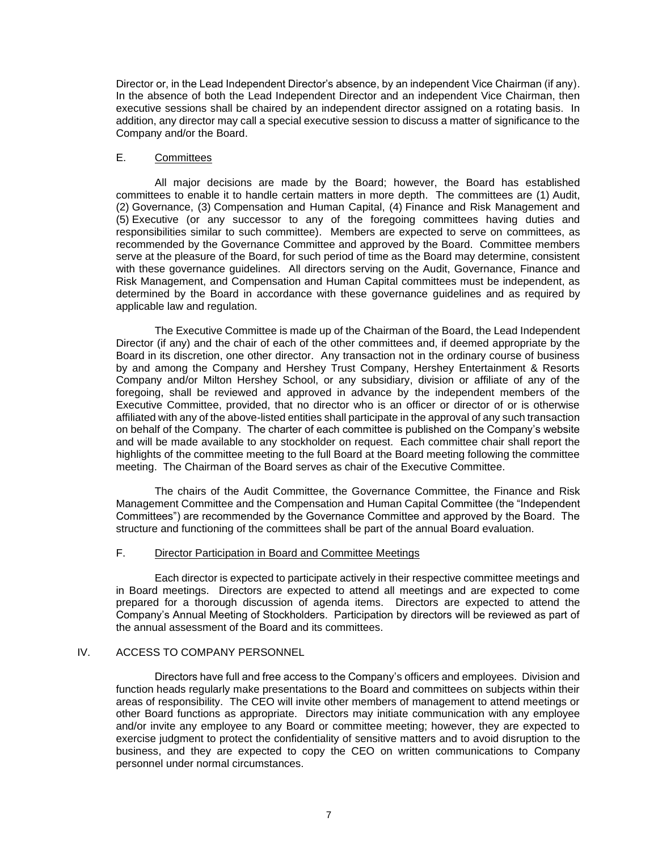Director or, in the Lead Independent Director's absence, by an independent Vice Chairman (if any). In the absence of both the Lead Independent Director and an independent Vice Chairman, then executive sessions shall be chaired by an independent director assigned on a rotating basis. In addition, any director may call a special executive session to discuss a matter of significance to the Company and/or the Board.

#### E. Committees

All major decisions are made by the Board; however, the Board has established committees to enable it to handle certain matters in more depth. The committees are (1) Audit, (2) Governance, (3) Compensation and Human Capital, (4) Finance and Risk Management and (5) Executive (or any successor to any of the foregoing committees having duties and responsibilities similar to such committee). Members are expected to serve on committees, as recommended by the Governance Committee and approved by the Board. Committee members serve at the pleasure of the Board, for such period of time as the Board may determine, consistent with these governance guidelines. All directors serving on the Audit, Governance, Finance and Risk Management, and Compensation and Human Capital committees must be independent, as determined by the Board in accordance with these governance guidelines and as required by applicable law and regulation.

The Executive Committee is made up of the Chairman of the Board, the Lead Independent Director (if any) and the chair of each of the other committees and, if deemed appropriate by the Board in its discretion, one other director. Any transaction not in the ordinary course of business by and among the Company and Hershey Trust Company, Hershey Entertainment & Resorts Company and/or Milton Hershey School, or any subsidiary, division or affiliate of any of the foregoing, shall be reviewed and approved in advance by the independent members of the Executive Committee, provided, that no director who is an officer or director of or is otherwise affiliated with any of the above-listed entities shall participate in the approval of any such transaction on behalf of the Company. The charter of each committee is published on the Company's website and will be made available to any stockholder on request. Each committee chair shall report the highlights of the committee meeting to the full Board at the Board meeting following the committee meeting. The Chairman of the Board serves as chair of the Executive Committee.

The chairs of the Audit Committee, the Governance Committee, the Finance and Risk Management Committee and the Compensation and Human Capital Committee (the "Independent Committees") are recommended by the Governance Committee and approved by the Board. The structure and functioning of the committees shall be part of the annual Board evaluation.

#### F. Director Participation in Board and Committee Meetings

Each director is expected to participate actively in their respective committee meetings and in Board meetings. Directors are expected to attend all meetings and are expected to come prepared for a thorough discussion of agenda items. Directors are expected to attend the Company's Annual Meeting of Stockholders. Participation by directors will be reviewed as part of the annual assessment of the Board and its committees.

# IV. ACCESS TO COMPANY PERSONNEL

Directors have full and free access to the Company's officers and employees. Division and function heads regularly make presentations to the Board and committees on subjects within their areas of responsibility. The CEO will invite other members of management to attend meetings or other Board functions as appropriate. Directors may initiate communication with any employee and/or invite any employee to any Board or committee meeting; however, they are expected to exercise judgment to protect the confidentiality of sensitive matters and to avoid disruption to the business, and they are expected to copy the CEO on written communications to Company personnel under normal circumstances.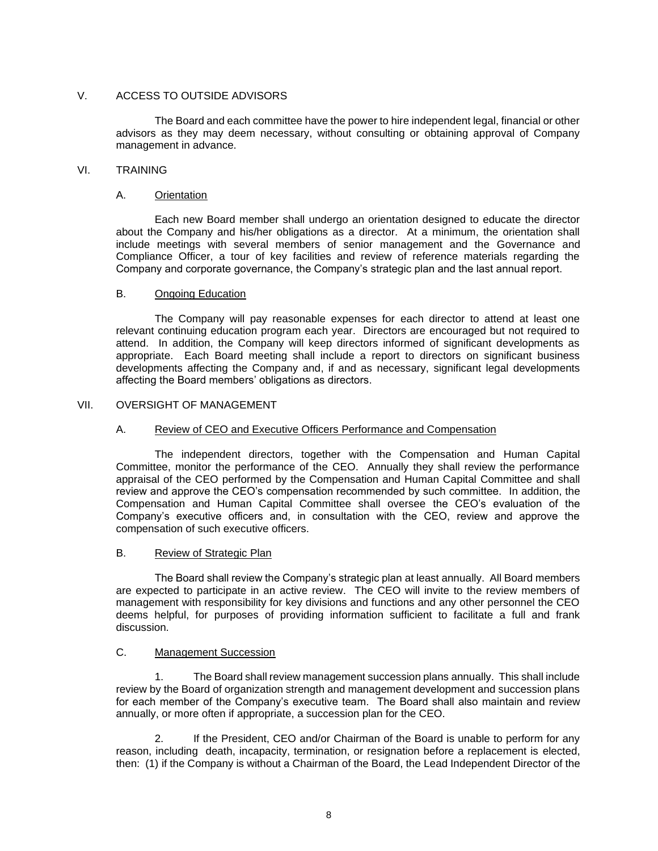# V. ACCESS TO OUTSIDE ADVISORS

The Board and each committee have the power to hire independent legal, financial or other advisors as they may deem necessary, without consulting or obtaining approval of Company management in advance.

# VI. TRAINING

# A. Orientation

Each new Board member shall undergo an orientation designed to educate the director about the Company and his/her obligations as a director. At a minimum, the orientation shall include meetings with several members of senior management and the Governance and Compliance Officer, a tour of key facilities and review of reference materials regarding the Company and corporate governance, the Company's strategic plan and the last annual report.

# B. Ongoing Education

The Company will pay reasonable expenses for each director to attend at least one relevant continuing education program each year. Directors are encouraged but not required to attend. In addition, the Company will keep directors informed of significant developments as appropriate. Each Board meeting shall include a report to directors on significant business developments affecting the Company and, if and as necessary, significant legal developments affecting the Board members' obligations as directors.

# VII. OVERSIGHT OF MANAGEMENT

# A. Review of CEO and Executive Officers Performance and Compensation

The independent directors, together with the Compensation and Human Capital Committee, monitor the performance of the CEO. Annually they shall review the performance appraisal of the CEO performed by the Compensation and Human Capital Committee and shall review and approve the CEO's compensation recommended by such committee. In addition, the Compensation and Human Capital Committee shall oversee the CEO's evaluation of the Company's executive officers and, in consultation with the CEO, review and approve the compensation of such executive officers.

# B. Review of Strategic Plan

The Board shall review the Company's strategic plan at least annually. All Board members are expected to participate in an active review. The CEO will invite to the review members of management with responsibility for key divisions and functions and any other personnel the CEO deems helpful, for purposes of providing information sufficient to facilitate a full and frank discussion.

# C. Management Succession

1. The Board shall review management succession plans annually. This shall include review by the Board of organization strength and management development and succession plans for each member of the Company's executive team. The Board shall also maintain and review annually, or more often if appropriate, a succession plan for the CEO.

2. If the President, CEO and/or Chairman of the Board is unable to perform for any reason, including death, incapacity, termination, or resignation before a replacement is elected, then: (1) if the Company is without a Chairman of the Board, the Lead Independent Director of the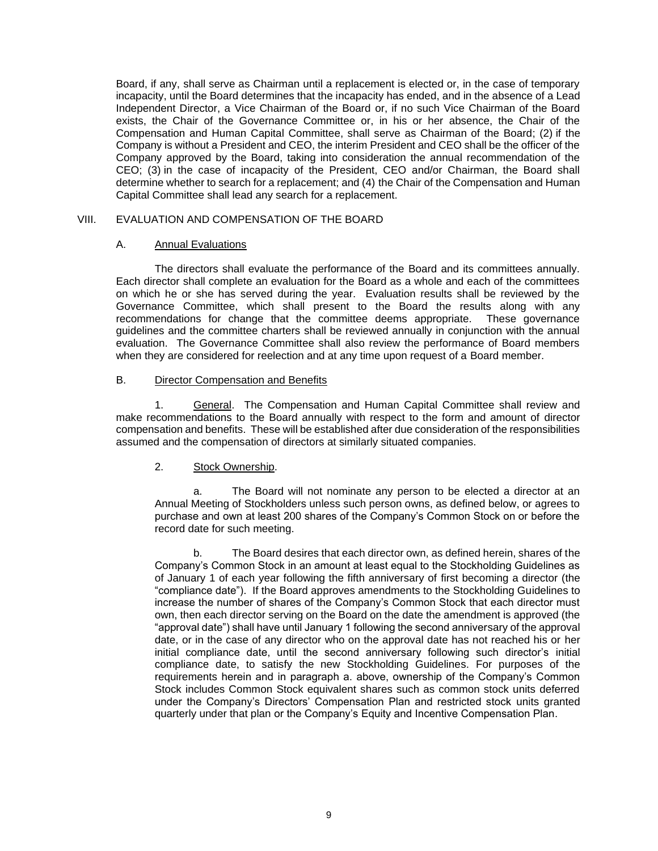Board, if any, shall serve as Chairman until a replacement is elected or, in the case of temporary incapacity, until the Board determines that the incapacity has ended, and in the absence of a Lead Independent Director, a Vice Chairman of the Board or, if no such Vice Chairman of the Board exists, the Chair of the Governance Committee or, in his or her absence, the Chair of the Compensation and Human Capital Committee, shall serve as Chairman of the Board; (2) if the Company is without a President and CEO, the interim President and CEO shall be the officer of the Company approved by the Board, taking into consideration the annual recommendation of the CEO; (3) in the case of incapacity of the President, CEO and/or Chairman, the Board shall determine whether to search for a replacement; and (4) the Chair of the Compensation and Human Capital Committee shall lead any search for a replacement.

#### VIII. EVALUATION AND COMPENSATION OF THE BOARD

#### A. Annual Evaluations

The directors shall evaluate the performance of the Board and its committees annually. Each director shall complete an evaluation for the Board as a whole and each of the committees on which he or she has served during the year. Evaluation results shall be reviewed by the Governance Committee, which shall present to the Board the results along with any recommendations for change that the committee deems appropriate. These governance guidelines and the committee charters shall be reviewed annually in conjunction with the annual evaluation. The Governance Committee shall also review the performance of Board members when they are considered for reelection and at any time upon request of a Board member.

#### B. Director Compensation and Benefits

1. General. The Compensation and Human Capital Committee shall review and make recommendations to the Board annually with respect to the form and amount of director compensation and benefits. These will be established after due consideration of the responsibilities assumed and the compensation of directors at similarly situated companies.

#### 2. Stock Ownership.

a. The Board will not nominate any person to be elected a director at an Annual Meeting of Stockholders unless such person owns, as defined below, or agrees to purchase and own at least 200 shares of the Company's Common Stock on or before the record date for such meeting.

b. The Board desires that each director own, as defined herein, shares of the Company's Common Stock in an amount at least equal to the Stockholding Guidelines as of January 1 of each year following the fifth anniversary of first becoming a director (the "compliance date"). If the Board approves amendments to the Stockholding Guidelines to increase the number of shares of the Company's Common Stock that each director must own, then each director serving on the Board on the date the amendment is approved (the "approval date") shall have until January 1 following the second anniversary of the approval date, or in the case of any director who on the approval date has not reached his or her initial compliance date, until the second anniversary following such director's initial compliance date, to satisfy the new Stockholding Guidelines. For purposes of the requirements herein and in paragraph a. above, ownership of the Company's Common Stock includes Common Stock equivalent shares such as common stock units deferred under the Company's Directors' Compensation Plan and restricted stock units granted quarterly under that plan or the Company's Equity and Incentive Compensation Plan.